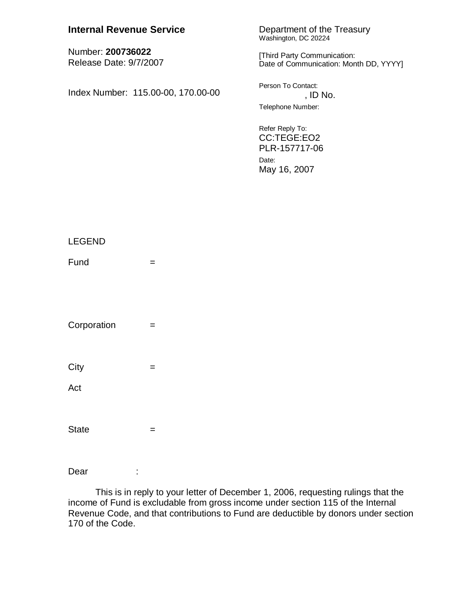| <b>Internal Revenue Service</b>             | Department of the Treasury<br>Washington, DC 20224                       |
|---------------------------------------------|--------------------------------------------------------------------------|
| Number: 200736022<br>Release Date: 9/7/2007 | [Third Party Communication:<br>Date of Communication: Month DD, YYYY]    |
| Index Number: 115.00-00, 170.00-00          | Person To Contact:<br>, ID No.<br>Telephone Number:                      |
|                                             | Refer Reply To:<br>CC:TEGE:EO2<br>PLR-157717-06<br>Date:<br>May 16, 2007 |

| LEGEND       |                   |  |
|--------------|-------------------|--|
| Fund         | $\qquad \qquad =$ |  |
|              |                   |  |
|              |                   |  |
| Corporation  | $\qquad \qquad =$ |  |
|              |                   |  |
| City         | $\qquad \qquad =$ |  |
| Act          |                   |  |
|              |                   |  |
| <b>State</b> |                   |  |
|              | $=$               |  |

Dear :

 This is in reply to your letter of December 1, 2006, requesting rulings that the income of Fund is excludable from gross income under section 115 of the Internal Revenue Code, and that contributions to Fund are deductible by donors under section 170 of the Code.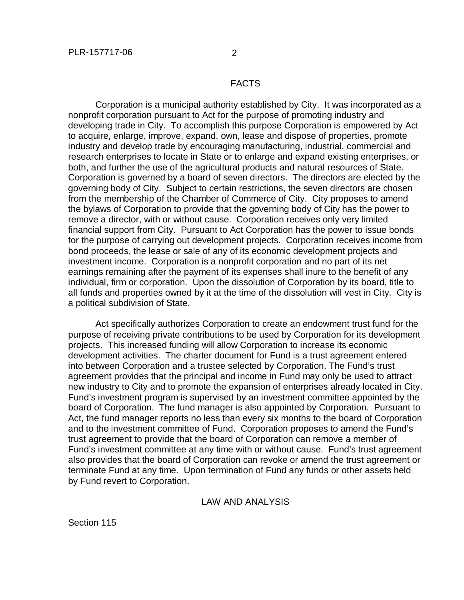## FACTS

 Corporation is a municipal authority established by City. It was incorporated as a nonprofit corporation pursuant to Act for the purpose of promoting industry and developing trade in City. To accomplish this purpose Corporation is empowered by Act to acquire, enlarge, improve, expand, own, lease and dispose of properties, promote industry and develop trade by encouraging manufacturing, industrial, commercial and research enterprises to locate in State or to enlarge and expand existing enterprises, or both, and further the use of the agricultural products and natural resources of State. Corporation is governed by a board of seven directors. The directors are elected by the governing body of City. Subject to certain restrictions, the seven directors are chosen from the membership of the Chamber of Commerce of City. City proposes to amend the bylaws of Corporation to provide that the governing body of City has the power to remove a director, with or without cause. Corporation receives only very limited financial support from City. Pursuant to Act Corporation has the power to issue bonds for the purpose of carrying out development projects. Corporation receives income from bond proceeds, the lease or sale of any of its economic development projects and investment income. Corporation is a nonprofit corporation and no part of its net earnings remaining after the payment of its expenses shall inure to the benefit of any individual, firm or corporation. Upon the dissolution of Corporation by its board, title to all funds and properties owned by it at the time of the dissolution will vest in City. City is a political subdivision of State.

 Act specifically authorizes Corporation to create an endowment trust fund for the purpose of receiving private contributions to be used by Corporation for its development projects. This increased funding will allow Corporation to increase its economic development activities. The charter document for Fund is a trust agreement entered into between Corporation and a trustee selected by Corporation. The Fund's trust agreement provides that the principal and income in Fund may only be used to attract new industry to City and to promote the expansion of enterprises already located in City. Fund's investment program is supervised by an investment committee appointed by the board of Corporation. The fund manager is also appointed by Corporation. Pursuant to Act, the fund manager reports no less than every six months to the board of Corporation and to the investment committee of Fund. Corporation proposes to amend the Fund's trust agreement to provide that the board of Corporation can remove a member of Fund's investment committee at any time with or without cause. Fund's trust agreement also provides that the board of Corporation can revoke or amend the trust agreement or terminate Fund at any time. Upon termination of Fund any funds or other assets held by Fund revert to Corporation.

## LAW AND ANALYSIS

Section 115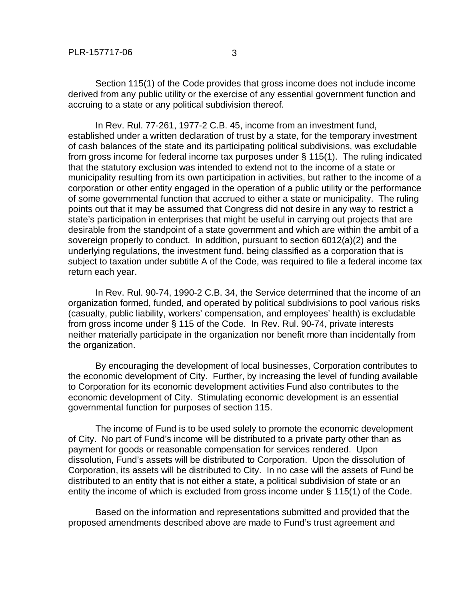Section 115(1) of the Code provides that gross income does not include income derived from any public utility or the exercise of any essential government function and accruing to a state or any political subdivision thereof.

 In Rev. Rul. 77-261, 1977-2 C.B. 45, income from an investment fund, established under a written declaration of trust by a state, for the temporary investment of cash balances of the state and its participating political subdivisions, was excludable from gross income for federal income tax purposes under § 115(1). The ruling indicated that the statutory exclusion was intended to extend not to the income of a state or municipality resulting from its own participation in activities, but rather to the income of a corporation or other entity engaged in the operation of a public utility or the performance of some governmental function that accrued to either a state or municipality. The ruling points out that it may be assumed that Congress did not desire in any way to restrict a state's participation in enterprises that might be useful in carrying out projects that are desirable from the standpoint of a state government and which are within the ambit of a sovereign properly to conduct. In addition, pursuant to section 6012(a)(2) and the underlying regulations, the investment fund, being classified as a corporation that is subject to taxation under subtitle A of the Code, was required to file a federal income tax return each year.

 In Rev. Rul. 90-74, 1990-2 C.B. 34, the Service determined that the income of an organization formed, funded, and operated by political subdivisions to pool various risks (casualty, public liability, workers' compensation, and employees' health) is excludable from gross income under § 115 of the Code. In Rev. Rul. 90-74, private interests neither materially participate in the organization nor benefit more than incidentally from the organization.

 By encouraging the development of local businesses, Corporation contributes to the economic development of City. Further, by increasing the level of funding available to Corporation for its economic development activities Fund also contributes to the economic development of City. Stimulating economic development is an essential governmental function for purposes of section 115.

 The income of Fund is to be used solely to promote the economic development of City. No part of Fund's income will be distributed to a private party other than as payment for goods or reasonable compensation for services rendered. Upon dissolution, Fund's assets will be distributed to Corporation. Upon the dissolution of Corporation, its assets will be distributed to City. In no case will the assets of Fund be distributed to an entity that is not either a state, a political subdivision of state or an entity the income of which is excluded from gross income under § 115(1) of the Code.

 Based on the information and representations submitted and provided that the proposed amendments described above are made to Fund's trust agreement and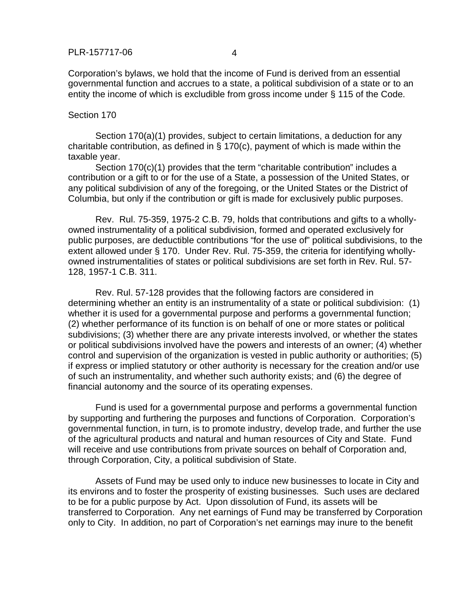Corporation's bylaws, we hold that the income of Fund is derived from an essential governmental function and accrues to a state, a political subdivision of a state or to an entity the income of which is excludible from gross income under § 115 of the Code.

## Section 170

 Section 170(a)(1) provides, subject to certain limitations, a deduction for any charitable contribution, as defined in § 170(c), payment of which is made within the taxable year.

Section 170(c)(1) provides that the term "charitable contribution" includes a contribution or a gift to or for the use of a State, a possession of the United States, or any political subdivision of any of the foregoing, or the United States or the District of Columbia, but only if the contribution or gift is made for exclusively public purposes.

Rev. Rul. 75-359, 1975-2 C.B. 79, holds that contributions and gifts to a whollyowned instrumentality of a political subdivision, formed and operated exclusively for public purposes, are deductible contributions "for the use of" political subdivisions, to the extent allowed under § 170. Under Rev. Rul. 75-359, the criteria for identifying whollyowned instrumentalities of states or political subdivisions are set forth in Rev. Rul. 57- 128, 1957-1 C.B. 311.

Rev. Rul. 57-128 provides that the following factors are considered in determining whether an entity is an instrumentality of a state or political subdivision: (1) whether it is used for a governmental purpose and performs a governmental function; (2) whether performance of its function is on behalf of one or more states or political subdivisions; (3) whether there are any private interests involved, or whether the states or political subdivisions involved have the powers and interests of an owner; (4) whether control and supervision of the organization is vested in public authority or authorities; (5) if express or implied statutory or other authority is necessary for the creation and/or use of such an instrumentality, and whether such authority exists; and (6) the degree of financial autonomy and the source of its operating expenses.

Fund is used for a governmental purpose and performs a governmental function by supporting and furthering the purposes and functions of Corporation. Corporation's governmental function, in turn, is to promote industry, develop trade, and further the use of the agricultural products and natural and human resources of City and State. Fund will receive and use contributions from private sources on behalf of Corporation and, through Corporation, City, a political subdivision of State.

Assets of Fund may be used only to induce new businesses to locate in City and its environs and to foster the prosperity of existing businesses. Such uses are declared to be for a public purpose by Act. Upon dissolution of Fund, its assets will be transferred to Corporation. Any net earnings of Fund may be transferred by Corporation only to City. In addition, no part of Corporation's net earnings may inure to the benefit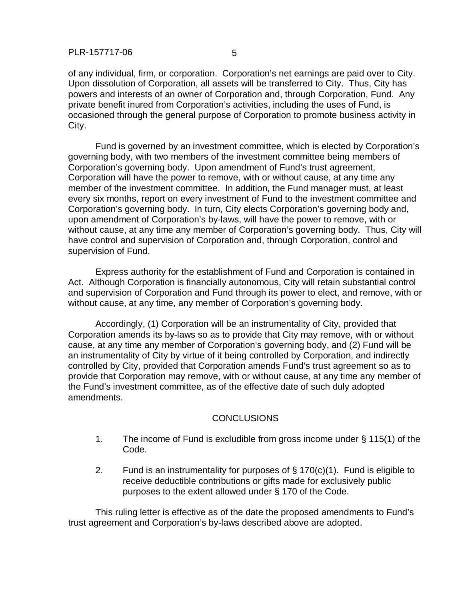of any individual, firm, or corporation. Corporation's net earnings are paid over to City. Upon dissolution of Corporation, all assets will be transferred to City. Thus, City has powers and interests of an owner of Corporation and, through Corporation, Fund. Any private benefit inured from Corporation's activities, including the uses of Fund, is occasioned through the general purpose of Corporation to promote business activity in City.

Fund is governed by an investment committee, which is elected by Corporation's governing body, with two members of the investment committee being members of Corporation's governing body. Upon amendment of Fund's trust agreement, Corporation will have the power to remove, with or without cause, at any time any member of the investment committee. In addition, the Fund manager must, at least every six months, report on every investment of Fund to the investment committee and Corporation's governing body. In turn, City elects Corporation's governing body and, upon amendment of Corporation's by-laws, will have the power to remove, with or without cause, at any time any member of Corporation's governing body. Thus, City will have control and supervision of Corporation and, through Corporation, control and supervision of Fund.

Express authority for the establishment of Fund and Corporation is contained in Act. Although Corporation is financially autonomous, City will retain substantial control and supervision of Corporation and Fund through its power to elect, and remove, with or without cause, at any time, any member of Corporation's governing body.

Accordingly, (1) Corporation will be an instrumentality of City, provided that Corporation amends its by-laws so as to provide that City may remove, with or without cause, at any time any member of Corporation's governing body, and (2) Fund will be an instrumentality of City by virtue of it being controlled by Corporation, and indirectly controlled by City, provided that Corporation amends Fund's trust agreement so as to provide that Corporation may remove, with or without cause, at any time any member of the Fund's investment committee, as of the effective date of such duly adopted amendments.

## CONCLUSIONS

- 1. The income of Fund is excludible from gross income under § 115(1) of the Code.
- 2. Fund is an instrumentality for purposes of  $\S$  170(c)(1). Fund is eligible to receive deductible contributions or gifts made for exclusively public purposes to the extent allowed under § 170 of the Code.

 This ruling letter is effective as of the date the proposed amendments to Fund's trust agreement and Corporation's by-laws described above are adopted.